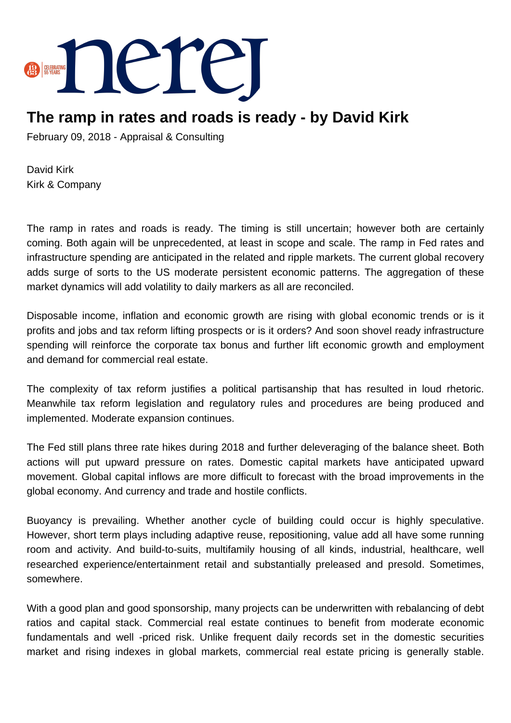

## **The ramp in rates and roads is ready - by David Kirk**

February 09, 2018 - Appraisal & Consulting

David Kirk Kirk & Company

The ramp in rates and roads is ready. The timing is still uncertain; however both are certainly coming. Both again will be unprecedented, at least in scope and scale. The ramp in Fed rates and infrastructure spending are anticipated in the related and ripple markets. The current global recovery adds surge of sorts to the US moderate persistent economic patterns. The aggregation of these market dynamics will add volatility to daily markers as all are reconciled.

Disposable income, inflation and economic growth are rising with global economic trends or is it profits and jobs and tax reform lifting prospects or is it orders? And soon shovel ready infrastructure spending will reinforce the corporate tax bonus and further lift economic growth and employment and demand for commercial real estate.

The complexity of tax reform justifies a political partisanship that has resulted in loud rhetoric. Meanwhile tax reform legislation and regulatory rules and procedures are being produced and implemented. Moderate expansion continues.

The Fed still plans three rate hikes during 2018 and further deleveraging of the balance sheet. Both actions will put upward pressure on rates. Domestic capital markets have anticipated upward movement. Global capital inflows are more difficult to forecast with the broad improvements in the global economy. And currency and trade and hostile conflicts.

Buoyancy is prevailing. Whether another cycle of building could occur is highly speculative. However, short term plays including adaptive reuse, repositioning, value add all have some running room and activity. And build-to-suits, multifamily housing of all kinds, industrial, healthcare, well researched experience/entertainment retail and substantially preleased and presold. Sometimes, somewhere.

With a good plan and good sponsorship, many projects can be underwritten with rebalancing of debt ratios and capital stack. Commercial real estate continues to benefit from moderate economic fundamentals and well -priced risk. Unlike frequent daily records set in the domestic securities market and rising indexes in global markets, commercial real estate pricing is generally stable.